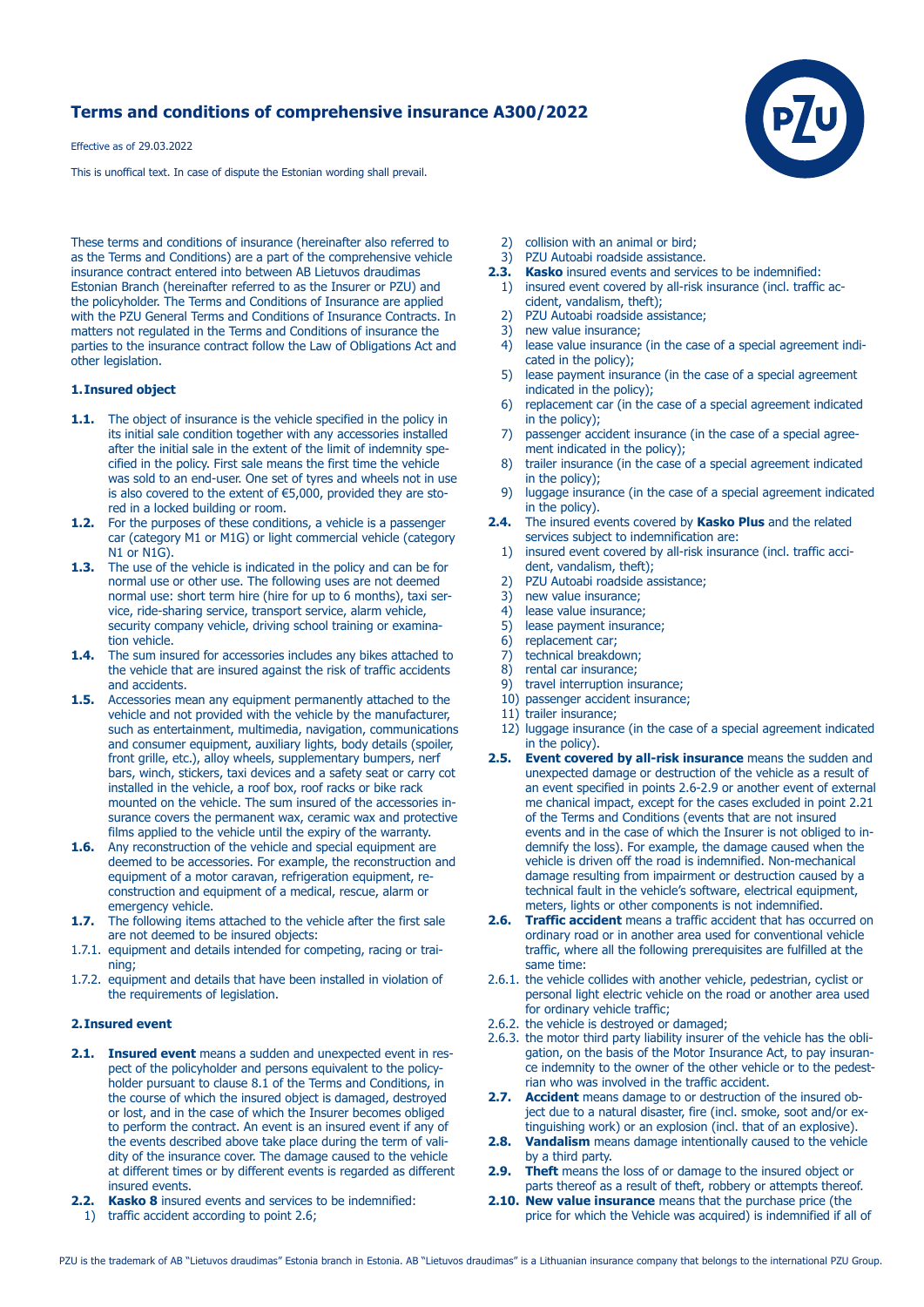# **Terms and conditions of comprehensive insurance A300/2022**

Effective as of 29.03.2022

This is unoffical text. In case of dispute the Estonian wording shall prevail.

These terms and conditions of insurance (hereinafter also referred to as the Terms and Conditions) are a part of the comprehensive vehicle insurance contract entered into between AB Lietuvos draudimas Estonian Branch (hereinafter referred to as the Insurer or PZU) and the policyholder. The Terms and Conditions of Insurance are applied with the PZU General Terms and Conditions of Insurance Contracts. In matters not regulated in the Terms and Conditions of insurance the parties to the insurance contract follow the Law of Obligations Act and other legislation.

### **1. Insured object**

- **1.1.** The object of insurance is the vehicle specified in the policy in its initial sale condition together with any accessories installed after the initial sale in the extent of the limit of indemnity spe cified in the policy. First sale means the first time the vehicle was sold to an end-user. One set of tyres and wheels not in use is also covered to the extent of €5,000, provided they are sto red in a locked building or room.
- **1.2.** For the purposes of these conditions, a vehicle is a passenger car (category M1 or M1G) or light commercial vehicle (category N1 or N1G).
- **1.3.** The use of the vehicle is indicated in the policy and can be for normal use or other use. The following uses are not deemed normal use: short term hire (hire for up to 6 months), taxi ser vice, ride-sharing service, transport service, alarm vehicle, security company vehicle, driving school training or examination vehicle.
- **1.4.** The sum insured for accessories includes any bikes attached to the vehicle that are insured against the risk of traffic accidents and accidents.
- **1.5.** Accessories mean any equipment permanently attached to the vehicle and not provided with the vehicle by the manufacturer, such as entertainment, multimedia, navigation, communications and consumer equipment, auxiliary lights, body details (spoiler, front grille, etc.), alloy wheels, supplementary bumpers, nerf bars, winch, stickers, taxi devices and a safety seat or carry cot installed in the vehicle, a roof box, roof racks or bike rack mounted on the vehicle. The sum insured of the accessories in surance covers the permanent wax, ceramic wax and protective films applied to the vehicle until the expiry of the warranty.
- **1.6.** Any reconstruction of the vehicle and special equipment are deemed to be accessories. For example, the reconstruction and equipment of a motor caravan, refrigeration equipment, re construction and equipment of a medical, rescue, alarm or emergency vehicle.
- **1.7.** The following items attached to the vehicle after the first sale are not deemed to be insured objects:
- 1.7.1. equipment and details intended for competing, racing or training;
- 1.7.2. equipment and details that have been installed in violation of the requirements of legislation.

### **2. Insured event**

- **2.1. Insured event** means a sudden and unexpected event in res pect of the policyholder and persons equivalent to the policy holder pursuant to clause 8.1 of the Terms and Conditions, in the course of which the insured object is damaged, destroyed or lost, and in the case of which the Insurer becomes obliged to perform the contract. An event is an insured event if any of the events described above take place during the term of vali dity of the insurance cover. The damage caused to the vehicle at different times or by different events is regarded as different insured events.
- **2.2. Kasko 8** insured events and services to be indemnified: 1) traffic accident according to point 2.6;
- 2) collision with an animal or bird;
- 3) PZU Autoabi roadside assistance.
- **2.3. Kasko** insured events and services to be indemnified: 1) insured event covered by all-risk insurance (incl. traffic ac cident, vandalism, theft);
	-
	- 2) PZU Autoabi roadside assistance;<br>3) new value insurance: new value insurance;
	- 4) lease value insurance (in the case of a special agreement indi cated in the policy);
	- 5) lease payment insurance (in the case of a special agreement indicated in the policy);
	- 6) replacement car (in the case of a special agreement indicated in the policy);<br>7) passenger acc
	- passenger accident insurance (in the case of a special agreement indicated in the policy);<br>8) trailer insurance (in the case
	- trailer insurance (in the case of a special agreement indicated in the policy);
	- 9) luggage insurance (in the case of a special agreement indicated in the policy).
- **2.4.** The insured events covered by **Kasko Plus** and the related services subject to indemnification are:
	- 1) insured event covered by all-risk insurance (incl. traffic acci dent, vandalism, theft);
	- 2) PZU Autoabi roadside assistance;
	- 3) new value insurance;<br>4) lease value insurance
- lease value insurance:
- 5) lease payment insurance;
- 6) replacement car;<br>7) technical breakdo
- technical breakdown;
- 8) rental car insurance;
- 9) travel interruption insurance; 10) passenger accident insurance;
- 11) trailer insurance;
- 12) luggage insurance (in the case of a special agreement indicated
- in the policy).<br>**2.5.** Event cover **Event covered by all-risk insurance** means the sudden and unexpected damage or destruction of the vehicle as a result of an event specified in points 2.6-2.9 or another event of external me chanical impact, except for the cases excluded in point 2.21 of the Terms and Conditions (events that are not insured events and in the case of which the Insurer is not obliged to in demnify the loss). For example, the damage caused when the vehicle is driven off the road is indemnified. Non-mechanical damage resulting from impairment or destruction caused by a technical fault in the vehicle's software, electrical equipment, meters, lights or other components is not indemnified.
- **2.6. Traffic accident** means a traffic accident that has occurred on ordinary road or in another area used for conventional vehicle traffic, where all the following prerequisites are fulfilled at the same time:
- 2.6.1. the vehicle collides with another vehicle, pedestrian, cyclist or personal light electric vehicle on the road or another area used for ordinary vehicle traffic;
- 2.6.2. the vehicle is destroyed or damaged;
- 2.6.3. the motor third party liability insurer of the vehicle has the obli gation, on the basis of the Motor Insurance Act, to pay insuran ce indemnity to the owner of the other vehicle or to the pedest rian who was involved in the traffic accident.<br>**2.7.** Accident means damage to or destruction of
- **2.7. Accident** means damage to or destruction of the insured ob ject due to a natural disaster, fire (incl. smoke, soot and/or ex tinguishing work) or an explosion (incl. that of an explosive).
- **2.8. Vandalism** means damage intentionally caused to the vehicle by a third party.
- **2.9. Theft** means the loss of or damage to the insured object or parts thereof as a result of theft, robbery or attempts thereof.
- **2.10. New value insurance** means that the purchase price (the price for which the Vehicle was acquired) is indemnified if all of

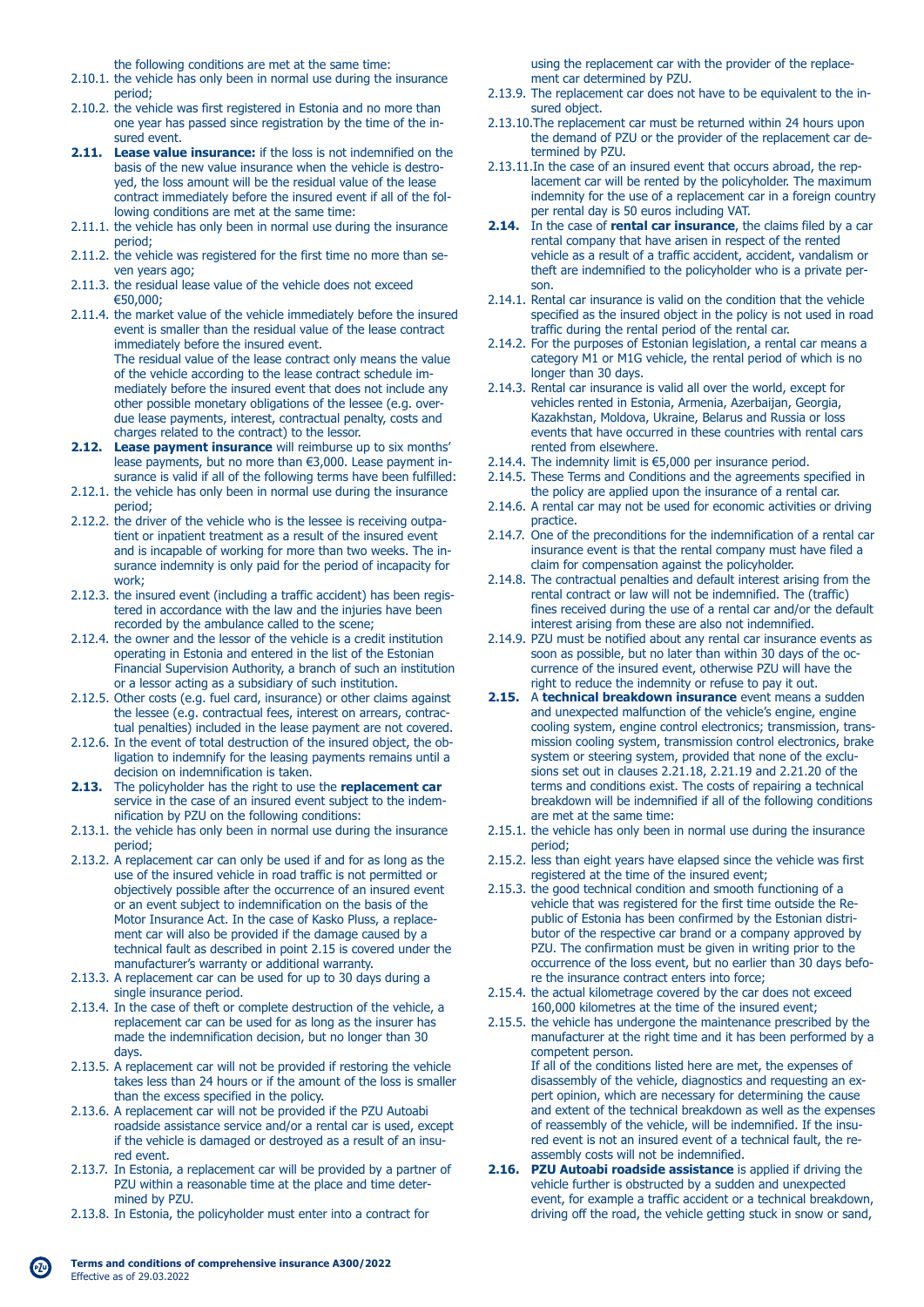the following conditions are met at the same time:

- 2.10.1. the vehicle has only been in normal use during the insurance period;
- 2.10.2. the vehicle was first registered in Estonia and no more than one year has passed since registration by the time of the in sured event.
- **2.11. Lease value insurance:** if the loss is not indemnified on the basis of the new value insurance when the vehicle is destro yed, the loss amount will be the residual value of the lease contract immediately before the insured event if all of the fol lowing conditions are met at the same time:
- 2.11.1. the vehicle has only been in normal use during the insurance period;
- 2.11.2. the vehicle was registered for the first time no more than se ven years ago;
- 2.11.3. the residual lease value of the vehicle does not exceed €50,000;
- 2.11.4. the market value of the vehicle immediately before the insured event is smaller than the residual value of the lease contract immediately before the insured event. The residual value of the lease contract only means the value of the vehicle according to the lease contract schedule im mediately before the insured event that does not include any other possible monetary obligations of the lessee (e.g. over due lease payments, interest, contractual penalty, costs and charges related to the contract) to the lessor.
- **2.12. Lease payment insurance** will reimburse up to six months' lease payments, but no more than €3,000. Lease payment in surance is valid if all of the following terms have been fulfilled:
- 2.12.1. the vehicle has only been in normal use during the insurance period;
- 2.12.2. the driver of the vehicle who is the lessee is receiving outpa tient or inpatient treatment as a result of the insured event and is incapable of working for more than two weeks. The in surance indemnity is only paid for the period of incapacity for work;
- 2.12.3. the insured event (including a traffic accident) has been regis tered in accordance with the law and the injuries have been recorded by the ambulance called to the scene;
- 2.12.4. the owner and the lessor of the vehicle is a credit institution operating in Estonia and entered in the list of the Estonian Financial Supervision Authority, a branch of such an institution or a lessor acting as a subsidiary of such institution.
- 2.12.5. Other costs (e.g. fuel card, insurance) or other claims against the lessee (e.g. contractual fees, interest on arrears, contrac tual penalties) included in the lease payment are not covered.
- 2.12.6. In the event of total destruction of the insured object, the ob ligation to indemnify for the leasing payments remains until a decision on indemnification is taken.
- **2.13.** The policyholder has the right to use the **replacement car**  service in the case of an insured event subject to the indemnification by PZU on the following conditions:
- 2.13.1. the vehicle has only been in normal use during the insurance period;
- 2.13.2. A replacement car can only be used if and for as long as the use of the insured vehicle in road traffic is not permitted or objectively possible after the occurrence of an insured event or an event subject to indemnification on the basis of the Motor Insurance Act. In the case of Kasko Pluss, a replace ment car will also be provided if the damage caused by a technical fault as described in point 2.15 is covered under the manufacturer's warranty or additional warranty.
- 2.13.3. A replacement car can be used for up to 30 days during a single insurance period.
- 2.13.4. In the case of theft or complete destruction of the vehicle, a replacement car can be used for as long as the insurer has made the indemnification decision, but no longer than 30 days.
- 2.13.5. A replacement car will not be provided if restoring the vehicle takes less than 24 hours or if the amount of the loss is smaller than the excess specified in the policy.
- 2.13.6. A replacement car will not be provided if the PZU Autoabi roadside assistance service and/or a rental car is used, except if the vehicle is damaged or destroyed as a result of an insu red event.
- 2.13.7. In Estonia, a replacement car will be provided by a partner of PZU within a reasonable time at the place and time deter mined by PZU.
- 2.13.8. In Estonia, the policyholder must enter into a contract for

 using the replacement car with the provider of the replace ment car determined by PZU.

- 2.13.9. The replacement car does not have to be equivalent to the in sured object.
- 2.13.10.The replacement car must be returned within 24 hours upon the demand of PZU or the provider of the replacement car de termined by PZU.
- 2.13.11.In the case of an insured event that occurs abroad, the rep lacement car will be rented by the policyholder. The maximum indemnity for the use of a replacement car in a foreign country per rental day is 50 euros including VAT.
- **2.14.** In the case of **rental car insurance**, the claims filed by a car rental company that have arisen in respect of the rented vehicle as a result of a traffic accident, accident, vandalism or theft are indemnified to the policyholder who is a private per son.
- 2.14.1. Rental car insurance is valid on the condition that the vehicle specified as the insured object in the policy is not used in road traffic during the rental period of the rental car.
- 2.14.2. For the purposes of Estonian legislation, a rental car means a category M1 or M1G vehicle, the rental period of which is no longer than 30 days.
- 2.14.3. Rental car insurance is valid all over the world, except for vehicles rented in Estonia, Armenia, Azerbaijan, Georgia, Kazakhstan, Moldova, Ukraine, Belarus and Russia or loss events that have occurred in these countries with rental cars rented from elsewhere.
- 2.14.4. The indemnity limit is €5,000 per insurance period.
- 2.14.5. These Terms and Conditions and the agreements specified in the policy are applied upon the insurance of a rental car.
- 2.14.6. A rental car may not be used for economic activities or driving practice.
- 2.14.7. One of the preconditions for the indemnification of a rental car insurance event is that the rental company must have filed a claim for compensation against the policyholder.
- 2.14.8. The contractual penalties and default interest arising from the rental contract or law will not be indemnified. The (traffic) fines received during the use of a rental car and/or the default interest arising from these are also not indemnified.
- 2.14.9. PZU must be notified about any rental car insurance events as soon as possible, but no later than within 30 days of the oc currence of the insured event, otherwise PZU will have the right to reduce the indemnity or refuse to pay it out.
- **2.15.** A **technical breakdown insurance** event means a sudden and unexpected malfunction of the vehicle's engine, engine cooling system, engine control electronics; transmission, trans mission cooling system, transmission control electronics, brake system or steering system, provided that none of the exclu sions set out in clauses 2.21.18, 2.21.19 and 2.21.20 of the terms and conditions exist. The costs of repairing a technical breakdown will be indemnified if all of the following conditions are met at the same time:
- 2.15.1. the vehicle has only been in normal use during the insurance period;
- 2.15.2. less than eight years have elapsed since the vehicle was first registered at the time of the insured event;
- 2.15.3. the good technical condition and smooth functioning of a vehicle that was registered for the first time outside the Re public of Estonia has been confirmed by the Estonian distri butor of the respective car brand or a company approved by PZU. The confirmation must be given in writing prior to the occurrence of the loss event, but no earlier than 30 days befo re the insurance contract enters into force;
- 2.15.4. the actual kilometrage covered by the car does not exceed 160,000 kilometres at the time of the insured event;
- 2.15.5. the vehicle has undergone the maintenance prescribed by the manufacturer at the right time and it has been performed by a competent person. If all of the conditions listed here are met, the expenses of

 disassembly of the vehicle, diagnostics and requesting an ex pert opinion, which are necessary for determining the cause and extent of the technical breakdown as well as the expenses of reassembly of the vehicle, will be indemnified. If the insu red event is not an insured event of a technical fault, the re assembly costs will not be indemnified.

**2.16. PZU Autoabi roadside assistance** is applied if driving the vehicle further is obstructed by a sudden and unexpected event, for example a traffic accident or a technical breakdown, driving off the road, the vehicle getting stuck in snow or sand,

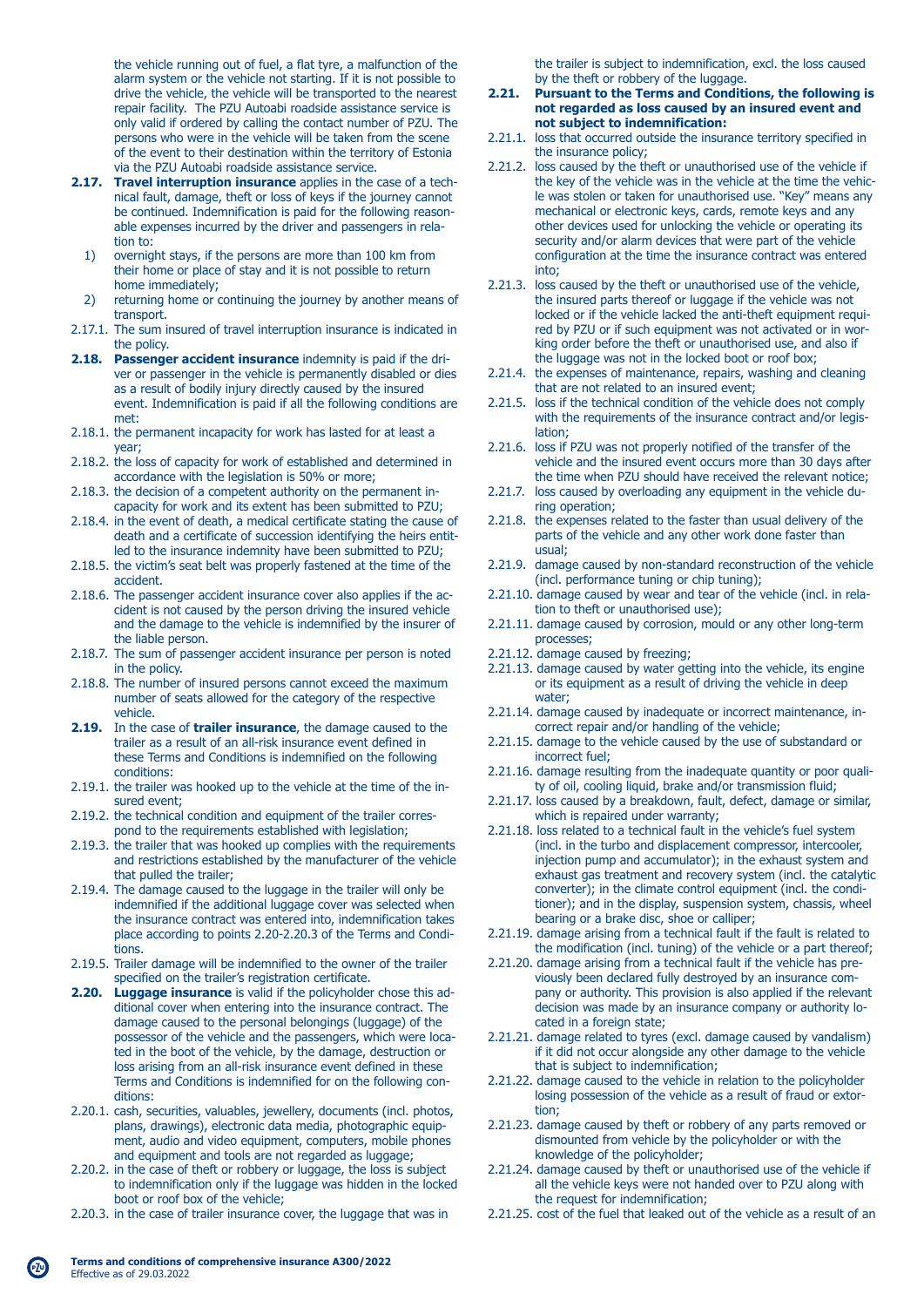the vehicle running out of fuel, a flat tyre, a malfunction of the alarm system or the vehicle not starting. If it is not possible to drive the vehicle, the vehicle will be transported to the nearest repair facility. The PZU Autoabi roadside assistance service is only valid if ordered by calling the contact number of PZU. The persons who were in the vehicle will be taken from the scene of the event to their destination within the territory of Estonia via the PZU Autoabi roadside assistance service.

- **2.17. Travel interruption insurance** applies in the case of a tech nical fault, damage, theft or loss of keys if the journey cannot be continued. Indemnification is paid for the following reason able expenses incurred by the driver and passengers in rela tion to:
	- 1) overnight stays, if the persons are more than 100 km from their home or place of stay and it is not possible to return home immediately;<br>2) returning home or
- returning home or continuing the journey by another means of transport.
- 2.17.1. The sum insured of travel interruption insurance is indicated in the policy.
- **2.18. Passenger accident insurance** indemnity is paid if the dri ver or passenger in the vehicle is permanently disabled or dies as a result of bodily injury directly caused by the insured event. Indemnification is paid if all the following conditions are met:
- 2.18.1. the permanent incapacity for work has lasted for at least a year;
- 2.18.2. the loss of capacity for work of established and determined in accordance with the legislation is 50% or more;
- 2.18.3. the decision of a competent authority on the permanent in capacity for work and its extent has been submitted to PZU;
- 2.18.4. in the event of death, a medical certificate stating the cause of death and a certificate of succession identifying the heirs entit led to the insurance indemnity have been submitted to PZU;
- 2.18.5. the victim's seat belt was properly fastened at the time of the accident.
- 2.18.6. The passenger accident insurance cover also applies if the ac cident is not caused by the person driving the insured vehicle and the damage to the vehicle is indemnified by the insurer of the liable person.
- 2.18.7. The sum of passenger accident insurance per person is noted in the policy.
- 2.18.8. The number of insured persons cannot exceed the maximum number of seats allowed for the category of the respective vehicle.
- **2.19.** In the case of **trailer insurance**, the damage caused to the trailer as a result of an all-risk insurance event defined in these Terms and Conditions is indemnified on the following conditions:
- 2.19.1. the trailer was hooked up to the vehicle at the time of the in sured event;
- 2.19.2. the technical condition and equipment of the trailer corres pond to the requirements established with legislation;
- 2.19.3. the trailer that was hooked up complies with the requirements and restrictions established by the manufacturer of the vehicle that pulled the trailer;
- 2.19.4. The damage caused to the luggage in the trailer will only be indemnified if the additional luggage cover was selected when the insurance contract was entered into, indemnification takes place according to points 2.20-2.20.3 of the Terms and Condi tions.
- 2.19.5. Trailer damage will be indemnified to the owner of the trailer specified on the trailer's registration certificate.
- **2.20. Luggage insurance** is valid if the policyholder chose this ad ditional cover when entering into the insurance contract. The damage caused to the personal belongings (luggage) of the possessor of the vehicle and the passengers, which were loca ted in the boot of the vehicle, by the damage, destruction or loss arising from an all-risk insurance event defined in these Terms and Conditions is indemnified for on the following con ditions:
- 2.20.1. cash, securities, valuables, jewellery, documents (incl. photos, plans, drawings), electronic data media, photographic equip ment, audio and video equipment, computers, mobile phones and equipment and tools are not regarded as luggage;
- 2.20.2. in the case of theft or robbery or luggage, the loss is subject to indemnification only if the luggage was hidden in the locked boot or roof box of the vehicle;
- 2.20.3. in the case of trailer insurance cover, the luggage that was in

 the trailer is subject to indemnification, excl. the loss caused by the theft or robbery of the luggage.<br>2.21. Pursuant to the Terms and Condition

### **2.21. Pursuant to the Terms and Conditions, the following is not regarded as loss caused by an insured event and not subject to indemnification:**

- 2.21.1. loss that occurred outside the insurance territory specified in the insurance policy;
- 2.21.2. loss caused by the theft or unauthorised use of the vehicle if the key of the vehicle was in the vehicle at the time the vehic le was stolen or taken for unauthorised use. "Key" means any mechanical or electronic keys, cards, remote keys and any other devices used for unlocking the vehicle or operating its security and/or alarm devices that were part of the vehicle configuration at the time the insurance contract was entered into;
- 2.21.3. loss caused by the theft or unauthorised use of the vehicle, the insured parts thereof or luggage if the vehicle was not locked or if the vehicle lacked the anti-theft equipment requi red by PZU or if such equipment was not activated or in wor king order before the theft or unauthorised use, and also if the luggage was not in the locked boot or roof box;
- 2.21.4. the expenses of maintenance, repairs, washing and cleaning that are not related to an insured event;
- 2.21.5. loss if the technical condition of the vehicle does not comply with the requirements of the insurance contract and/or legis lation;
- 2.21.6. loss if PZU was not properly notified of the transfer of the vehicle and the insured event occurs more than 30 days after the time when PZU should have received the relevant notice;
- 2.21.7. loss caused by overloading any equipment in the vehicle du ring operation;
- 2.21.8. the expenses related to the faster than usual delivery of the parts of the vehicle and any other work done faster than usual;
- 2.21.9. damage caused by non-standard reconstruction of the vehicle (incl. performance tuning or chip tuning);
- 2.21.10. damage caused by wear and tear of the vehicle (incl. in rela tion to theft or unauthorised use);
- 2.21.11. damage caused by corrosion, mould or any other long-term processes;
- 2.21.12. damage caused by freezing;
- 2.21.13. damage caused by water getting into the vehicle, its engine or its equipment as a result of driving the vehicle in deep water;
- 2.21.14. damage caused by inadequate or incorrect maintenance, in correct repair and/or handling of the vehicle;
- 2.21.15. damage to the vehicle caused by the use of substandard or incorrect fuel;
- 2.21.16. damage resulting from the inadequate quantity or poor quali ty of oil, cooling liquid, brake and/or transmission fluid;
- 2.21.17. loss caused by a breakdown, fault, defect, damage or similar, which is repaired under warranty;
- 2.21.18. loss related to a technical fault in the vehicle's fuel system (incl. in the turbo and displacement compressor, intercooler, injection pump and accumulator); in the exhaust system and exhaust gas treatment and recovery system (incl. the catalytic converter); in the climate control equipment (incl. the condi tioner); and in the display, suspension system, chassis, wheel bearing or a brake disc, shoe or calliper;
- 2.21.19. damage arising from a technical fault if the fault is related to the modification (incl. tuning) of the vehicle or a part thereof;
- 2.21.20. damage arising from a technical fault if the vehicle has pre viously been declared fully destroyed by an insurance com pany or authority. This provision is also applied if the relevant decision was made by an insurance company or authority lo cated in a foreign state;
- 2.21.21. damage related to tyres (excl. damage caused by vandalism) if it did not occur alongside any other damage to the vehicle that is subject to indemnification;
- 2.21.22. damage caused to the vehicle in relation to the policyholder losing possession of the vehicle as a result of fraud or extor tion;
- 2.21.23. damage caused by theft or robbery of any parts removed or dismounted from vehicle by the policyholder or with the knowledge of the policyholder;
- 2.21.24. damage caused by theft or unauthorised use of the vehicle if all the vehicle keys were not handed over to PZU along with the request for indemnification;
- 2.21.25. cost of the fuel that leaked out of the vehicle as a result of an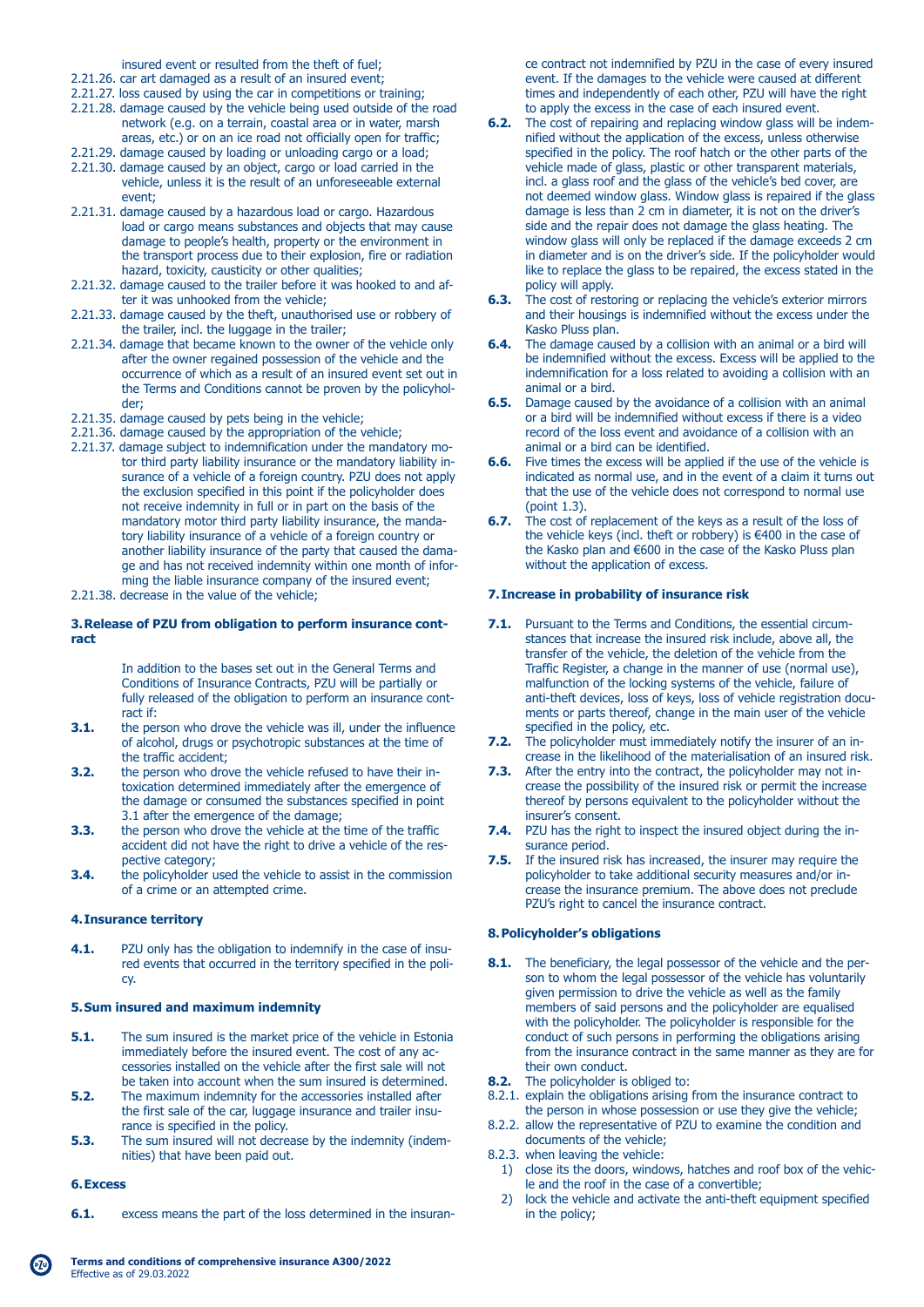insured event or resulted from the theft of fuel;

- 2.21.26. car art damaged as a result of an insured event;
- 2.21.27. loss caused by using the car in competitions or training;
- 2.21.28. damage caused by the vehicle being used outside of the road network (e.g. on a terrain, coastal area or in water, marsh areas, etc.) or on an ice road not officially open for traffic;
- 2.21.29. damage caused by loading or unloading cargo or a load;
- 2.21.30. damage caused by an object, cargo or load carried in the vehicle, unless it is the result of an unforeseeable external event;
- 2.21.31. damage caused by a hazardous load or cargo. Hazardous load or cargo means substances and objects that may cause damage to people's health, property or the environment in the transport process due to their explosion, fire or radiation hazard, toxicity, causticity or other qualities;
- 2.21.32. damage caused to the trailer before it was hooked to and af ter it was unhooked from the vehicle;
- 2.21.33. damage caused by the theft, unauthorised use or robbery of the trailer, incl. the luggage in the trailer;
- 2.21.34. damage that became known to the owner of the vehicle only after the owner regained possession of the vehicle and the occurrence of which as a result of an insured event set out in the Terms and Conditions cannot be proven by the policyhol der;
- 2.21.35. damage caused by pets being in the vehicle;
- 2.21.36. damage caused by the appropriation of the vehicle;
- 2.21.37. damage subject to indemnification under the mandatory mo tor third party liability insurance or the mandatory liability in surance of a vehicle of a foreign country. PZU does not apply the exclusion specified in this point if the policyholder does not receive indemnity in full or in part on the basis of the mandatory motor third party liability insurance, the manda tory liability insurance of a vehicle of a foreign country or another liability insurance of the party that caused the dama ge and has not received indemnity within one month of infor ming the liable insurance company of the insured event;
- 2.21.38. decrease in the value of the vehicle;

#### **3. Release of PZU from obligation to perform insurance contract**

 In addition to the bases set out in the General Terms and Conditions of Insurance Contracts, PZU will be partially or fully released of the obligation to perform an insurance cont-

- ract if:<br>3.1. the per **3.1.** the person who drove the vehicle was ill, under the influence of alcohol, drugs or psychotropic substances at the time of the traffic accident;<br>3.2. the person who dro
- **3.2.** the person who drove the vehicle refused to have their in toxication determined immediately after the emergence of the damage or consumed the substances specified in point 3.1 after the emergence of the damage;<br>3.3. the person who drove the vehicle at the
- **3.3.** the person who drove the vehicle at the time of the traffic accident did not have the right to drive a vehicle of the res pective category;<br>**3.4.** the policyholder u
- **3.4.** the policyholder used the vehicle to assist in the commission of a crime or an attempted crime.

### **4. Insurance territory**

**4.1.** PZU only has the obligation to indemnify in the case of insu red events that occurred in the territory specified in the poli cy.

## **5. Sum insured and maximum indemnity**

- **5.1.** The sum insured is the market price of the vehicle in Estonia immediately before the insured event. The cost of any ac cessories installed on the vehicle after the first sale will not be taken into account when the sum insured is determined.<br>5.2. The maximum indemnity for the accessories installed after
- **5.2.** The maximum indemnity for the accessories installed after the first sale of the car, luggage insurance and trailer insu rance is specified in the policy.<br>**5.3.** The sum insured will not decre
- **5.3.** The sum insured will not decrease by the indemnity (indem nities) that have been paid out.

#### **6. Excess**

**6.1.** excess means the part of the loss determined in the insuran-

 ce contract not indemnified by PZU in the case of every insured event. If the damages to the vehicle were caused at different times and independently of each other, PZU will have the right to apply the excess in the case of each insured event.<br>**6.2.** The cost of repairing and replacing window glass will

- The cost of repairing and replacing window glass will be indem nified without the application of the excess, unless otherwise specified in the policy. The roof hatch or the other parts of the vehicle made of glass, plastic or other transparent materials, incl. a glass roof and the glass of the vehicle's bed cover, are not deemed window glass. Window glass is repaired if the glass damage is less than 2 cm in diameter, it is not on the driver's side and the repair does not damage the glass heating. The window glass will only be replaced if the damage exceeds 2 cm in diameter and is on the driver's side. If the policyholder would like to replace the glass to be repaired, the excess stated in the policy will apply.
- **6.3.** The cost of restoring or replacing the vehicle's exterior mirrors and their housings is indemnified without the excess under the Kasko Pluss plan.
- **6.4.** The damage caused by a collision with an animal or a bird will be indemnified without the excess. Excess will be applied to the indemnification for a loss related to avoiding a collision with an animal or a bird.
- **6.5.** Damage caused by the avoidance of a collision with an animal or a bird will be indemnified without excess if there is a video record of the loss event and avoidance of a collision with an animal or a bird can be identified.<br>**6.6.** Five times the excess will be appli
- **6.6.** Five times the excess will be applied if the use of the vehicle is indicated as normal use, and in the event of a claim it turns out that the use of the vehicle does not correspond to normal use (point 1.3).
- **6.7.** The cost of replacement of the keys as a result of the loss of the vehicle keys (incl. theft or robbery) is €400 in the case of the Kasko plan and €600 in the case of the Kasko Pluss plan without the application of excess.

#### **7. Increase in probability of insurance risk**

- **7.1.** Pursuant to the Terms and Conditions, the essential circum stances that increase the insured risk include, above all, the transfer of the vehicle, the deletion of the vehicle from the Traffic Register, a change in the manner of use (normal use), malfunction of the locking systems of the vehicle, failure of anti-theft devices, loss of keys, loss of vehicle registration docu ments or parts thereof, change in the main user of the vehicle specified in the policy, etc.
- **7.2.** The policyholder must immediately notify the insurer of an increase in the likelihood of the materialisation of an insured risk.
- **7.3.** After the entry into the contract, the policyholder may not in crease the possibility of the insured risk or permit the increase thereof by persons equivalent to the policyholder without the insurer's consent.
- **7.4.** PZU has the right to inspect the insured object during the in surance period.
- **7.5.** If the insured risk has increased, the insurer may require the policyholder to take additional security measures and/or in crease the insurance premium. The above does not preclude PZU's right to cancel the insurance contract.

### **8. Policyholder's obligations**

- **8.1.** The beneficiary, the legal possessor of the vehicle and the per son to whom the legal possessor of the vehicle has voluntarily given permission to drive the vehicle as well as the family members of said persons and the policyholder are equalised with the policyholder. The policyholder is responsible for the conduct of such persons in performing the obligations arising from the insurance contract in the same manner as they are for their own conduct.
- **8.2.** The policyholder is obliged to:
- 8.2.1. explain the obligations arising from the insurance contract to the person in whose possession or use they give the vehicle;
- 8.2.2. allow the representative of PZU to examine the condition and documents of the vehicle;
- 8.2.3. when leaving the vehicle:
	- 1) close its the doors, windows, hatches and roof box of the vehic le and the roof in the case of a convertible;<br>2) lock the vehicle and activate the anti-theft of
	- lock the vehicle and activate the anti-theft equipment specified in the policy;

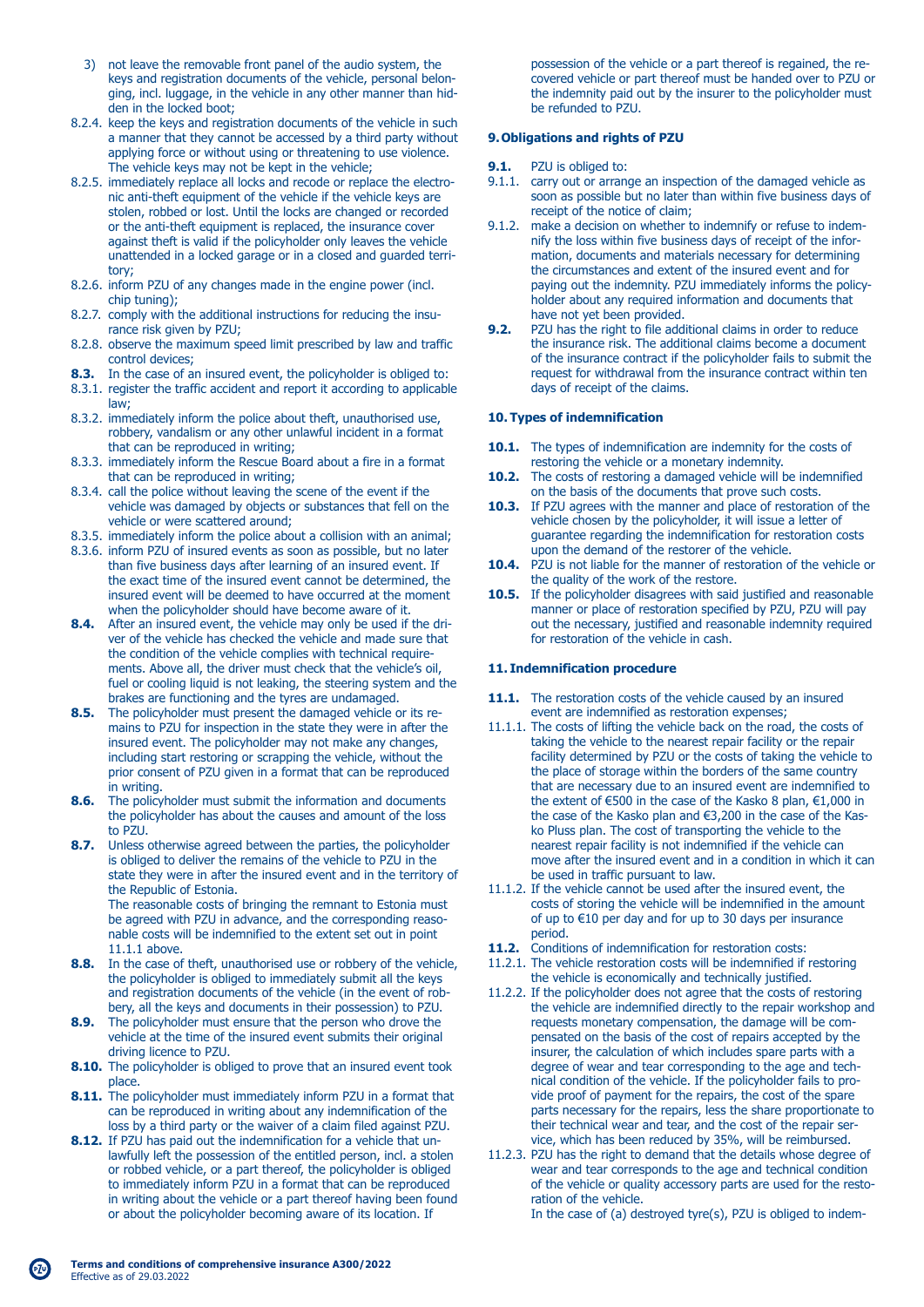- 3) not leave the removable front panel of the audio system, the keys and registration documents of the vehicle, personal belon ging, incl. luggage, in the vehicle in any other manner than hid den in the locked boot;
- 8.2.4. keep the keys and registration documents of the vehicle in such a manner that they cannot be accessed by a third party without applying force or without using or threatening to use violence. The vehicle keys may not be kept in the vehicle;
- 8.2.5. immediately replace all locks and recode or replace the electro nic anti-theft equipment of the vehicle if the vehicle keys are stolen, robbed or lost. Until the locks are changed or recorded or the anti-theft equipment is replaced, the insurance cover against theft is valid if the policyholder only leaves the vehicle unattended in a locked garage or in a closed and guarded terri tory;
- 8.2.6. inform PZU of any changes made in the engine power (incl. chip tuning);
- 8.2.7. comply with the additional instructions for reducing the insu rance risk given by PZU;
- 8.2.8. observe the maximum speed limit prescribed by law and traffic control devices;
- **8.3.** In the case of an insured event, the policyholder is obliged to:
- 8.3.1. register the traffic accident and report it according to applicable law;
- 8.3.2. immediately inform the police about theft, unauthorised use, robbery, vandalism or any other unlawful incident in a format that can be reproduced in writing;
- 8.3.3. immediately inform the Rescue Board about a fire in a format that can be reproduced in writing;
- 8.3.4. call the police without leaving the scene of the event if the vehicle was damaged by objects or substances that fell on the vehicle or were scattered around;
- 8.3.5. immediately inform the police about a collision with an animal;
- 8.3.6. inform PZU of insured events as soon as possible, but no later than five business days after learning of an insured event. If the exact time of the insured event cannot be determined, the insured event will be deemed to have occurred at the moment when the policyholder should have become aware of it.
- **8.4.** After an insured event, the vehicle may only be used if the dri ver of the vehicle has checked the vehicle and made sure that the condition of the vehicle complies with technical require ments. Above all, the driver must check that the vehicle's oil, fuel or cooling liquid is not leaking, the steering system and the brakes are functioning and the tyres are undamaged.<br> **8.5** The policyholder must present the damaged vehicle of
- **8.5.** The policyholder must present the damaged vehicle or its re mains to PZU for inspection in the state they were in after the insured event. The policyholder may not make any changes, including start restoring or scrapping the vehicle, without the prior consent of PZU given in a format that can be reproduced in writing.<br>**8.6.** The policy
- **8.6.** The policyholder must submit the information and documents the policyholder has about the causes and amount of the loss to PZU.
- **8.7.** Unless otherwise agreed between the parties, the policyholder is obliged to deliver the remains of the vehicle to PZU in the state they were in after the insured event and in the territory of the Republic of Estonia. The reasonable costs of bringing the remnant to Estonia must be agreed with PZU in advance, and the corresponding reaso-

 nable costs will be indemnified to the extent set out in point 11.1.1 above.

- **8.8.** In the case of theft, unauthorised use or robbery of the vehicle, the policyholder is obliged to immediately submit all the keys and registration documents of the vehicle (in the event of rob bery, all the keys and documents in their possession) to PZU.
- **8.9.** The policyholder must ensure that the person who drove the vehicle at the time of the insured event submits their original driving licence to PZU.
- **8.10.** The policyholder is obliged to prove that an insured event took place.
- **8.11.** The policyholder must immediately inform PZU in a format that can be reproduced in writing about any indemnification of the loss by a third party or the waiver of a claim filed against PZU.
- **8.12.** If PZU has paid out the indemnification for a vehicle that un lawfully left the possession of the entitled person, incl. a stolen or robbed vehicle, or a part thereof, the policyholder is obliged to immediately inform PZU in a format that can be reproduced in writing about the vehicle or a part thereof having been found or about the policyholder becoming aware of its location. If

 possession of the vehicle or a part thereof is regained, the re covered vehicle or part thereof must be handed over to PZU or the indemnity paid out by the insurer to the policyholder must be refunded to PZU.

# **9. Obligations and rights of PZU**

- **9.1.** PZU is obliged to:
- 9.1.1. carry out or arrange an inspection of the damaged vehicle as soon as possible but no later than within five business days of receipt of the notice of claim;
- 9.1.2. make a decision on whether to indemnify or refuse to indem nify the loss within five business days of receipt of the infor mation, documents and materials necessary for determining the circumstances and extent of the insured event and for paying out the indemnity. PZU immediately informs the policy holder about any required information and documents that have not yet been provided.<br>**9.2.** PZU has the right to file add
- **9.2.** PZU has the right to file additional claims in order to reduce the insurance risk. The additional claims become a document of the insurance contract if the policyholder fails to submit the request for withdrawal from the insurance contract within ten days of receipt of the claims.

# **10. Types of indemnification**

- 10.1. The types of indemnification are indemnity for the costs of restoring the vehicle or a monetary indemnity.
- 10.2. The costs of restoring a damaged vehicle will be indemnified on the basis of the documents that prove such costs.
- **10.3.** If PZU agrees with the manner and place of restoration of the vehicle chosen by the policyholder, it will issue a letter of guarantee regarding the indemnification for restoration costs upon the demand of the restorer of the vehicle.
- **10.4.** PZU is not liable for the manner of restoration of the vehicle or the quality of the work of the restore.
- **10.5.** If the policyholder disagrees with said justified and reasonable manner or place of restoration specified by PZU, PZU will pay out the necessary, justified and reasonable indemnity required for restoration of the vehicle in cash.

# **11. Indemnification procedure**

- **11.1.** The restoration costs of the vehicle caused by an insured event are indemnified as restoration expenses;
- 11.1.1. The costs of lifting the vehicle back on the road, the costs of taking the vehicle to the nearest repair facility or the repair facility determined by PZU or the costs of taking the vehicle to the place of storage within the borders of the same country that are necessary due to an insured event are indemnified to the extent of €500 in the case of the Kasko 8 plan, €1,000 in the case of the Kasko plan and €3,200 in the case of the Kas ko Pluss plan. The cost of transporting the vehicle to the nearest repair facility is not indemnified if the vehicle can move after the insured event and in a condition in which it can be used in traffic pursuant to law.
- 11.1.2. If the vehicle cannot be used after the insured event, the costs of storing the vehicle will be indemnified in the amount of up to €10 per day and for up to 30 days per insurance period.
- **11.2.** Conditions of indemnification for restoration costs:
- 11.2.1. The vehicle restoration costs will be indemnified if restoring the vehicle is economically and technically justified.
- 11.2.2. If the policyholder does not agree that the costs of restoring the vehicle are indemnified directly to the repair workshop and requests monetary compensation, the damage will be com pensated on the basis of the cost of repairs accepted by the insurer, the calculation of which includes spare parts with a degree of wear and tear corresponding to the age and tech nical condition of the vehicle. If the policyholder fails to pro vide proof of payment for the repairs, the cost of the spare parts necessary for the repairs, less the share proportionate to their technical wear and tear, and the cost of the repair ser vice, which has been reduced by 35%, will be reimbursed.
- 11.2.3. PZU has the right to demand that the details whose degree of wear and tear corresponds to the age and technical condition of the vehicle or quality accessory parts are used for the resto ration of the vehicle.

In the case of (a) destroyed tyre(s), PZU is obliged to indem-